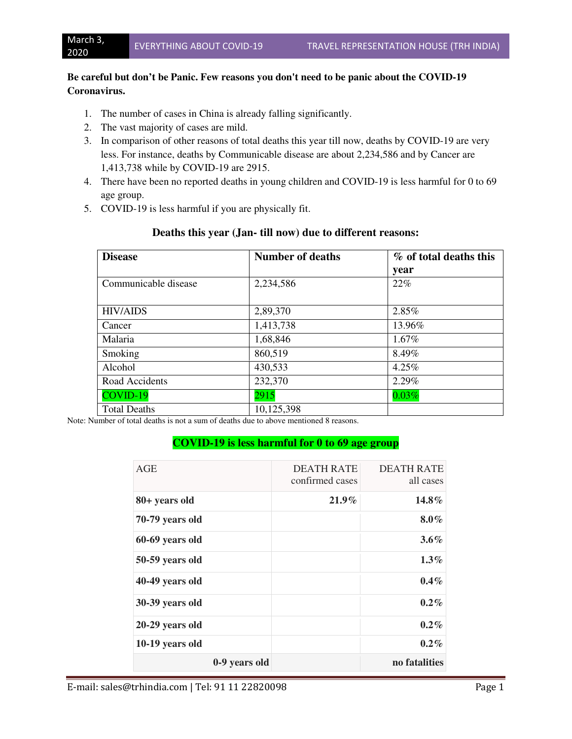### **Be careful but don't be Panic. Few reasons you don't need to be panic about the COVID-19 Coronavirus.**

- 1. The number of cases in China is already falling significantly.
- 2. The vast majority of cases are mild.
- 3. In comparison of other reasons of total deaths this year till now, deaths by COVID-19 are very less. For instance, deaths by Communicable disease are about 2,234,586 and by Cancer are 1,413,738 while by COVID-19 are 2915.
- 4. There have been no reported deaths in young children and COVID-19 is less harmful for 0 to 69 age group.
- 5. COVID-19 is less harmful if you are physically fit.

| <b>Disease</b>       | <b>Number of deaths</b> | % of total deaths this |
|----------------------|-------------------------|------------------------|
|                      |                         | year                   |
| Communicable disease | 2,234,586               | 22%                    |
|                      |                         |                        |
| <b>HIV/AIDS</b>      | 2,89,370                | 2.85%                  |
| Cancer               | 1,413,738               | 13.96%                 |
| Malaria              | 1,68,846                | $1.67\%$               |
| Smoking              | 860,519                 | 8.49%                  |
| Alcohol              | 430,533                 | 4.25%                  |
| Road Accidents       | 232,370                 | 2.29%                  |
| COVID-19             | 2915                    | 0.03%                  |
| <b>Total Deaths</b>  | 10,125,398              |                        |

### **Deaths this year (Jan- till now) due to different reasons:**

Note: Number of total deaths is not a sum of deaths due to above mentioned 8 reasons.

### **COVID-19 is less harmful for 0 to 69 age group**

| AGE             |               | <b>DEATH RATE</b><br>confirmed cases | <b>DEATH RATE</b><br>all cases |
|-----------------|---------------|--------------------------------------|--------------------------------|
| 80+ years old   |               | $21.9\%$                             | $14.8\%$                       |
| 70-79 years old |               |                                      | $8.0\%$                        |
| 60-69 years old |               |                                      | $3.6\%$                        |
| 50-59 years old |               |                                      | $1.3\%$                        |
| 40-49 years old |               |                                      | $0.4\%$                        |
| 30-39 years old |               |                                      | $0.2\%$                        |
| 20-29 years old |               |                                      | $0.2\%$                        |
| 10-19 years old |               |                                      | $0.2\%$                        |
|                 | 0-9 years old |                                      | no fatalities                  |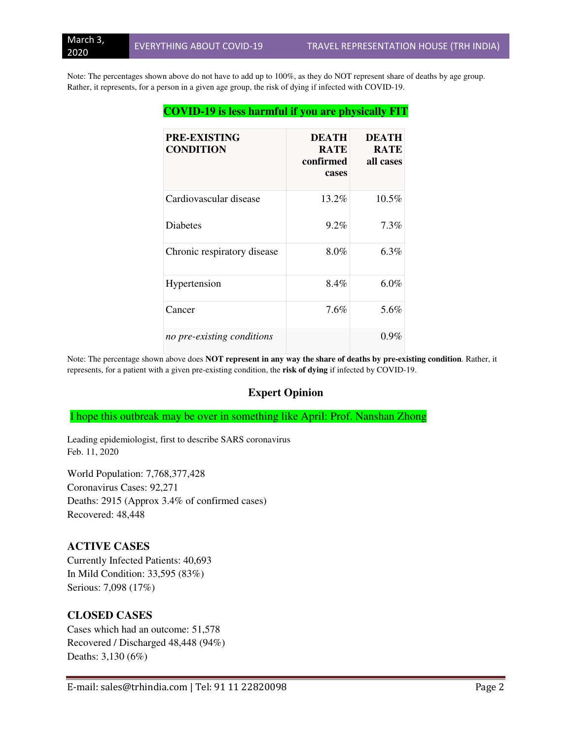Note: The percentages shown above do not have to add up to 100%, as they do NOT represent share of deaths by age group. Rather, it represents, for a person in a given age group, the risk of dying if infected with COVID-19.

| <b>PRE-EXISTING</b><br><b>CONDITION</b> | <b>DEATH</b><br><b>RATE</b><br>confirmed<br>cases | <b>DEATH</b><br><b>RATE</b><br>all cases |
|-----------------------------------------|---------------------------------------------------|------------------------------------------|
| Cardiovascular disease                  | 13.2%                                             | $10.5\%$                                 |
| <b>Diabetes</b>                         | $9.2\%$                                           | $7.3\%$                                  |
| Chronic respiratory disease             | 8.0%                                              | $6.3\%$                                  |
| Hypertension                            | 8.4%                                              | $6.0\%$                                  |
| Cancer                                  | 7.6%                                              | 5.6%                                     |
| no pre-existing conditions              |                                                   | $0.9\%$                                  |

Note: The percentage shown above does **NOT represent in any way the share of deaths by pre-existing condition**. Rather, it represents, for a patient with a given pre-existing condition, the **risk of dying** if infected by COVID-19.

#### **Expert Opinion**

I hope this outbreak may be over in something like April: Prof. Nanshan Zhong

Leading epidemiologist, first to describe SARS coronavirus Feb. 11, 2020

World Population: 7,768,377,428 Coronavirus Cases: 92,271 Deaths: 2915 (Approx 3.4% of confirmed cases) Recovered: 48,448

#### **ACTIVE CASES**

Currently Infected Patients: 40,693 In Mild Condition: 33,595 (83%) Serious: 7,098 (17%)

### **CLOSED CASES**

Cases which had an outcome: 51,578 Recovered / Discharged 48,448 (94%) Deaths: 3,130 (6%)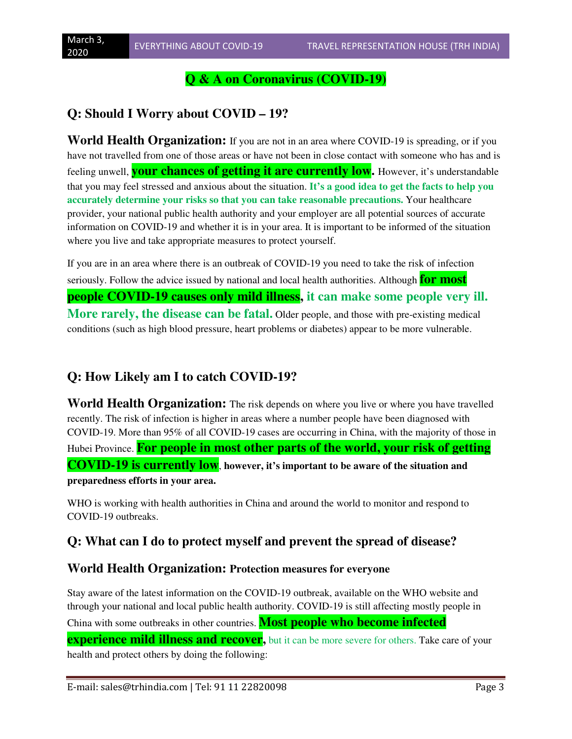## **Q & A on Coronavirus (COVID-19)**

# **Q: Should I Worry about COVID – 19?**

**World Health Organization:** If you are not in an area where COVID-19 is spreading, or if you have not travelled from one of those areas or have not been in close contact with someone who has and is feeling unwell, **your chances of getting it are currently low.** However, it's understandable that you may feel stressed and anxious about the situation. **It's a good idea to get the facts to help you accurately determine your risks so that you can take reasonable precautions.** Your healthcare provider, your national public health authority and your employer are all potential sources of accurate information on COVID-19 and whether it is in your area. It is important to be informed of the situation where you live and take appropriate measures to protect yourself.

If you are in an area where there is an outbreak of COVID-19 you need to take the risk of infection seriously. Follow the advice issued by national and local health authorities. Although **for most people COVID-19 causes only mild illness, it can make some people very ill. More rarely, the disease can be fatal.** Older people, and those with pre-existing medical conditions (such as high blood pressure, heart problems or diabetes) appear to be more vulnerable.

# **Q: How Likely am I to catch COVID-19?**

**World Health Organization:** The risk depends on where you live or where you have travelled recently. The risk of infection is higher in areas where a number people have been diagnosed with COVID-19. More than 95% of all COVID-19 cases are occurring in China, with the majority of those in Hubei Province. **For people in most other parts of the world, your risk of getting COVID-19 is currently low**, **however, it's important to be aware of the situation and preparedness efforts in your area.** 

WHO is working with health authorities in China and around the world to monitor and respond to COVID-19 outbreaks.

# **Q: What can I do to protect myself and prevent the spread of disease?**

### **World Health Organization: Protection measures for everyone**

Stay aware of the latest information on the COVID-19 outbreak, available on the WHO website and through your national and local public health authority. COVID-19 is still affecting mostly people in China with some outbreaks in other countries. **Most people who become infected** 

**experience mild illness and recover**, but it can be more severe for others. Take care of your health and protect others by doing the following: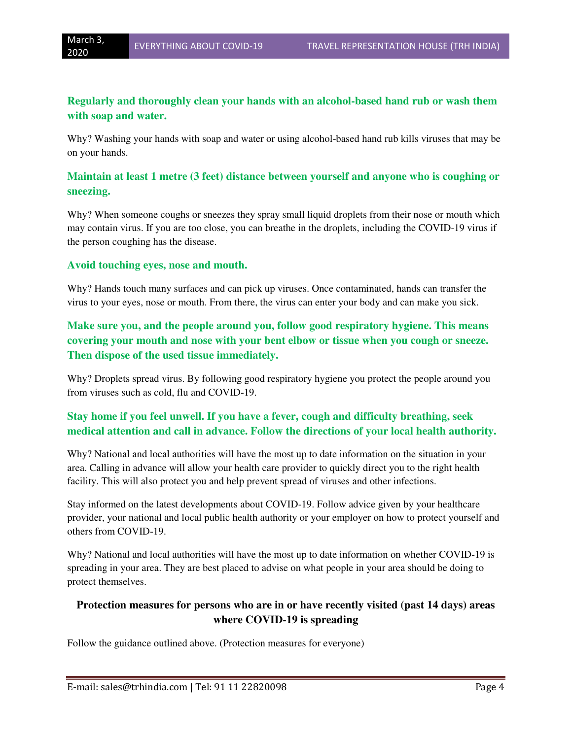### **Regularly and thoroughly clean your hands with an alcohol-based hand rub or wash them with soap and water.**

Why? Washing your hands with soap and water or using alcohol-based hand rub kills viruses that may be on your hands.

### **Maintain at least 1 metre (3 feet) distance between yourself and anyone who is coughing or sneezing.**

Why? When someone coughs or sneezes they spray small liquid droplets from their nose or mouth which may contain virus. If you are too close, you can breathe in the droplets, including the COVID-19 virus if the person coughing has the disease.

### **Avoid touching eyes, nose and mouth.**

Why? Hands touch many surfaces and can pick up viruses. Once contaminated, hands can transfer the virus to your eyes, nose or mouth. From there, the virus can enter your body and can make you sick.

## **Make sure you, and the people around you, follow good respiratory hygiene. This means covering your mouth and nose with your bent elbow or tissue when you cough or sneeze. Then dispose of the used tissue immediately.**

Why? Droplets spread virus. By following good respiratory hygiene you protect the people around you from viruses such as cold, flu and COVID-19.

## **Stay home if you feel unwell. If you have a fever, cough and difficulty breathing, seek medical attention and call in advance. Follow the directions of your local health authority.**

Why? National and local authorities will have the most up to date information on the situation in your area. Calling in advance will allow your health care provider to quickly direct you to the right health facility. This will also protect you and help prevent spread of viruses and other infections.

Stay informed on the latest developments about COVID-19. Follow advice given by your healthcare provider, your national and local public health authority or your employer on how to protect yourself and others from COVID-19.

Why? National and local authorities will have the most up to date information on whether COVID-19 is spreading in your area. They are best placed to advise on what people in your area should be doing to protect themselves.

### **Protection measures for persons who are in or have recently visited (past 14 days) areas where COVID-19 is spreading**

Follow the guidance outlined above. (Protection measures for everyone)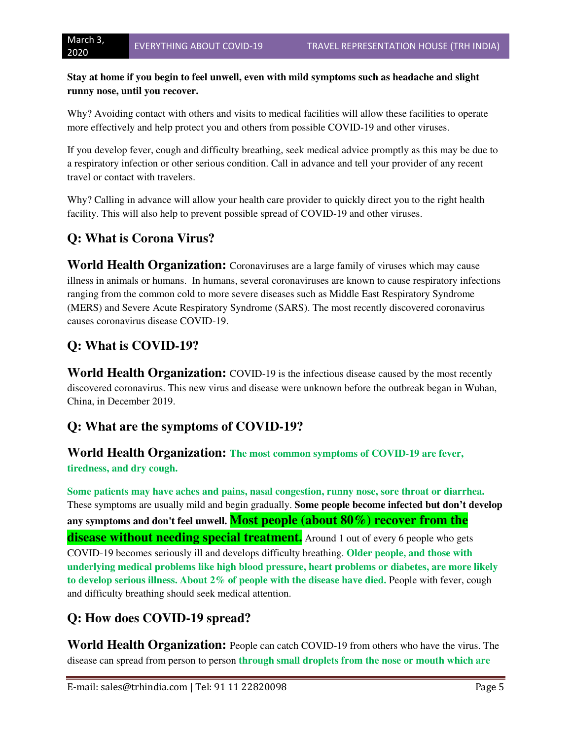### **Stay at home if you begin to feel unwell, even with mild symptoms such as headache and slight runny nose, until you recover.**

Why? Avoiding contact with others and visits to medical facilities will allow these facilities to operate more effectively and help protect you and others from possible COVID-19 and other viruses.

If you develop fever, cough and difficulty breathing, seek medical advice promptly as this may be due to a respiratory infection or other serious condition. Call in advance and tell your provider of any recent travel or contact with travelers.

Why? Calling in advance will allow your health care provider to quickly direct you to the right health facility. This will also help to prevent possible spread of COVID-19 and other viruses.

# **Q: What is Corona Virus?**

**World Health Organization:** Coronaviruses are a large family of viruses which may cause illness in animals or humans. In humans, several coronaviruses are known to cause respiratory infections ranging from the common cold to more severe diseases such as Middle East Respiratory Syndrome (MERS) and Severe Acute Respiratory Syndrome (SARS). The most recently discovered coronavirus causes coronavirus disease COVID-19.

# **Q: What is COVID-19?**

**World Health Organization:** COVID-19 is the infectious disease caused by the most recently discovered coronavirus. This new virus and disease were unknown before the outbreak began in Wuhan, China, in December 2019.

# **Q: What are the symptoms of COVID-19?**

**World Health Organization: The most common symptoms of COVID-19 are fever, tiredness, and dry cough.** 

**Some patients may have aches and pains, nasal congestion, runny nose, sore throat or diarrhea.** These symptoms are usually mild and begin gradually. **Some people become infected but don't develop any symptoms and don't feel unwell. Most people (about 80%) recover from the disease without needing special treatment.** Around 1 out of every 6 people who gets COVID-19 becomes seriously ill and develops difficulty breathing. **Older people, and those with underlying medical problems like high blood pressure, heart problems or diabetes, are more likely to develop serious illness. About 2% of people with the disease have died.** People with fever, cough and difficulty breathing should seek medical attention.

# **Q: How does COVID-19 spread?**

**World Health Organization:** People can catch COVID-19 from others who have the virus. The disease can spread from person to person **through small droplets from the nose or mouth which are**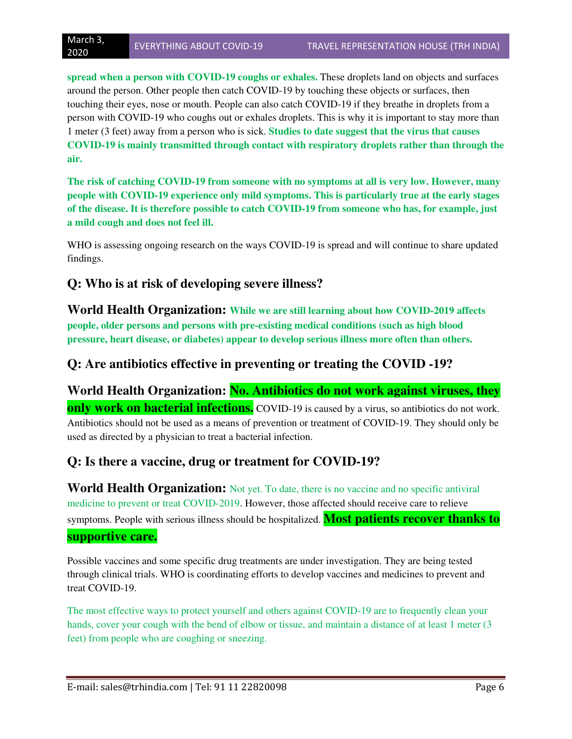**spread when a person with COVID-19 coughs or exhales.** These droplets land on objects and surfaces around the person. Other people then catch COVID-19 by touching these objects or surfaces, then touching their eyes, nose or mouth. People can also catch COVID-19 if they breathe in droplets from a person with COVID-19 who coughs out or exhales droplets. This is why it is important to stay more than 1 meter (3 feet) away from a person who is sick. **Studies to date suggest that the virus that causes COVID-19 is mainly transmitted through contact with respiratory droplets rather than through the air.** 

**The risk of catching COVID-19 from someone with no symptoms at all is very low. However, many people with COVID-19 experience only mild symptoms. This is particularly true at the early stages of the disease. It is therefore possible to catch COVID-19 from someone who has, for example, just a mild cough and does not feel ill.** 

WHO is assessing ongoing research on the ways COVID-19 is spread and will continue to share updated findings.

# **Q: Who is at risk of developing severe illness?**

**World Health Organization: While we are still learning about how COVID-2019 affects people, older persons and persons with pre-existing medical conditions (such as high blood pressure, heart disease, or diabetes) appear to develop serious illness more often than others.** 

# **Q: Are antibiotics effective in preventing or treating the COVID -19?**

World Health Organization: **No. Antibiotics do not work against viruses, they only work on bacterial infections.** COVID-19 is caused by a virus, so antibiotics do not work. Antibiotics should not be used as a means of prevention or treatment of COVID-19. They should only be used as directed by a physician to treat a bacterial infection.

# **Q: Is there a vaccine, drug or treatment for COVID-19?**

**World Health Organization:** Not yet. To date, there is no vaccine and no specific antiviral medicine to prevent or treat COVID-2019. However, those affected should receive care to relieve symptoms. People with serious illness should be hospitalized. **Most patients recover thanks to supportive care.**

Possible vaccines and some specific drug treatments are under investigation. They are being tested through clinical trials. WHO is coordinating efforts to develop vaccines and medicines to prevent and treat COVID-19.

The most effective ways to protect yourself and others against COVID-19 are to frequently clean your hands, cover your cough with the bend of elbow or tissue, and maintain a distance of at least 1 meter (3) feet) from people who are coughing or sneezing.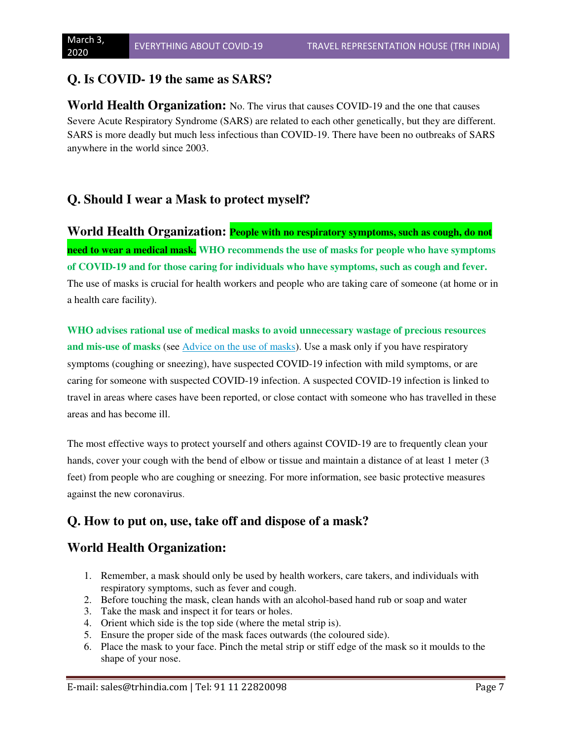# **Q. Is COVID- 19 the same as SARS?**

**World Health Organization:** No. The virus that causes COVID-19 and the one that causes Severe Acute Respiratory Syndrome (SARS) are related to each other genetically, but they are different. SARS is more deadly but much less infectious than COVID-19. There have been no outbreaks of SARS anywhere in the world since 2003.

# **Q. Should I wear a Mask to protect myself?**

**World Health Organization: People with no respiratory symptoms, such as cough, do not need to wear a medical mask. WHO recommends the use of masks for people who have symptoms of COVID-19 and for those caring for individuals who have symptoms, such as cough and fever.** The use of masks is crucial for health workers and people who are taking care of someone (at home or in a health care facility).

**WHO advises rational use of medical masks to avoid unnecessary wastage of precious resources and mis-use of masks** (see Advice on the use of masks). Use a mask only if you have respiratory symptoms (coughing or sneezing), have suspected COVID-19 infection with mild symptoms, or are caring for someone with suspected COVID-19 infection. A suspected COVID-19 infection is linked to travel in areas where cases have been reported, or close contact with someone who has travelled in these areas and has become ill.

The most effective ways to protect yourself and others against COVID-19 are to frequently clean your hands, cover your cough with the bend of elbow or tissue and maintain a distance of at least 1 meter (3) feet) from people who are coughing or sneezing. For more information, see basic protective measures against the new coronavirus.

## **Q. How to put on, use, take off and dispose of a mask?**

## **World Health Organization:**

- 1. Remember, a mask should only be used by health workers, care takers, and individuals with respiratory symptoms, such as fever and cough.
- 2. Before touching the mask, clean hands with an alcohol-based hand rub or soap and water
- 3. Take the mask and inspect it for tears or holes.
- 4. Orient which side is the top side (where the metal strip is).
- 5. Ensure the proper side of the mask faces outwards (the coloured side).
- 6. Place the mask to your face. Pinch the metal strip or stiff edge of the mask so it moulds to the shape of your nose.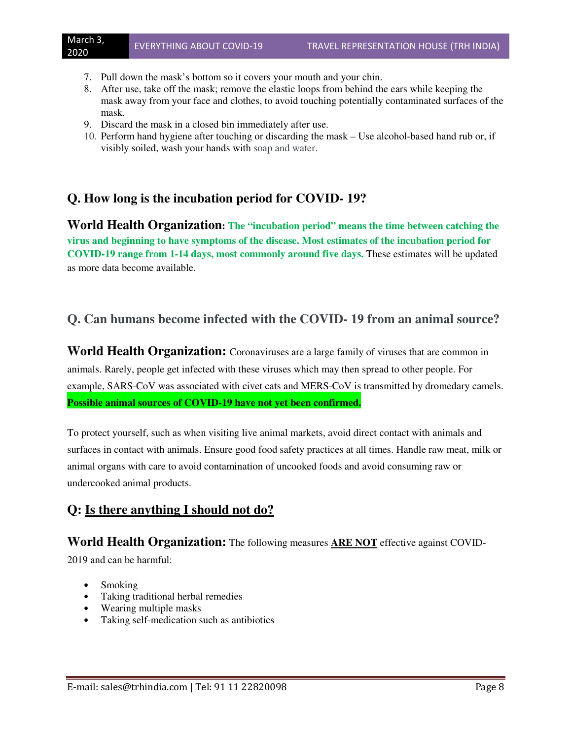- 7. Pull down the mask's bottom so it covers your mouth and your chin.
- 8. After use, take off the mask; remove the elastic loops from behind the ears while keeping the mask away from your face and clothes, to avoid touching potentially contaminated surfaces of the mask.
- 9. Discard the mask in a closed bin immediately after use.
- 10. Perform hand hygiene after touching or discarding the mask Use alcohol-based hand rub or, if visibly soiled, wash your hands with soap and water.

# **Q. How long is the incubation period for COVID- 19?**

**World Health Organization: The "incubation period" means the time between catching the virus and beginning to have symptoms of the disease. Most estimates of the incubation period for COVID-19 range from 1-14 days, most commonly around five days.** These estimates will be updated as more data become available.

## **Q. Can humans become infected with the COVID- 19 from an animal source?**

**World Health Organization:** Coronaviruses are a large family of viruses that are common in animals. Rarely, people get infected with these viruses which may then spread to other people. For example, SARS-CoV was associated with civet cats and MERS-CoV is transmitted by dromedary camels. **Possible animal sources of COVID-19 have not yet been confirmed.** 

To protect yourself, such as when visiting live animal markets, avoid direct contact with animals and surfaces in contact with animals. Ensure good food safety practices at all times. Handle raw meat, milk or animal organs with care to avoid contamination of uncooked foods and avoid consuming raw or undercooked animal products.

# **Q: Is there anything I should not do?**

### **World Health Organization:** The following measures **ARE NOT** effective against COVID-

2019 and can be harmful:

- Smoking
- Taking traditional herbal remedies
- Wearing multiple masks
- Taking self-medication such as antibiotics